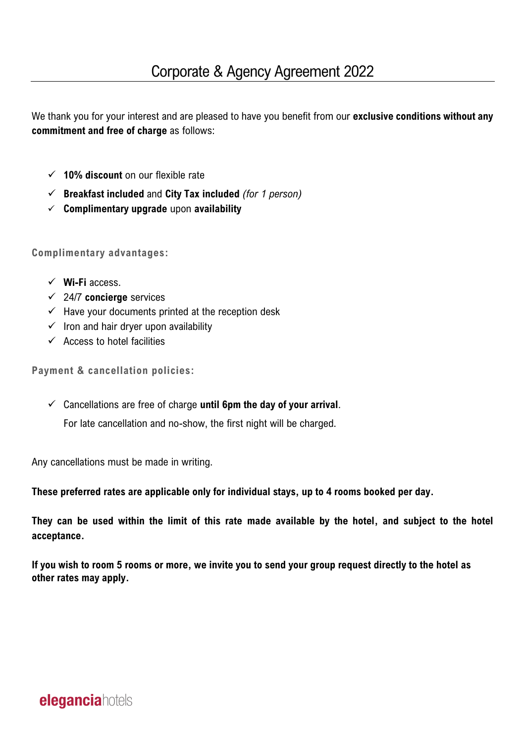We thank you for your interest and are pleased to have you benefit from our **exclusive conditions without any commitment and free of charge** as follows:

- ✓ **10% discount** on our flexible rate
- ✓ **Breakfast included** and **City Tax included** *(for 1 person)*
- ✓ **Complimentary upgrade** upon **availability**

**Complimentary advantages:**

- ✓ **Wi-Fi** access.
- ✓ 24/7 **concierge** services
- $\checkmark$  Have your documents printed at the reception desk
- $\checkmark$  Iron and hair dryer upon availability
- $\checkmark$  Access to hotel facilities

**Payment & cancellation policies:**

✓ Cancellations are free of charge **until 6pm the day of your arrival**.

For late cancellation and no-show, the first night will be charged.

Any cancellations must be made in writing.

**These preferred rates are applicable only for individual stays, up to 4 rooms booked per day.** 

**They can be used within the limit of this rate made available by the hotel, and subject to the hotel acceptance.**

**If you wish to room 5 rooms or more, we invite you to send your group request directly to the hotel as other rates may apply.**

## **elegancia** hotels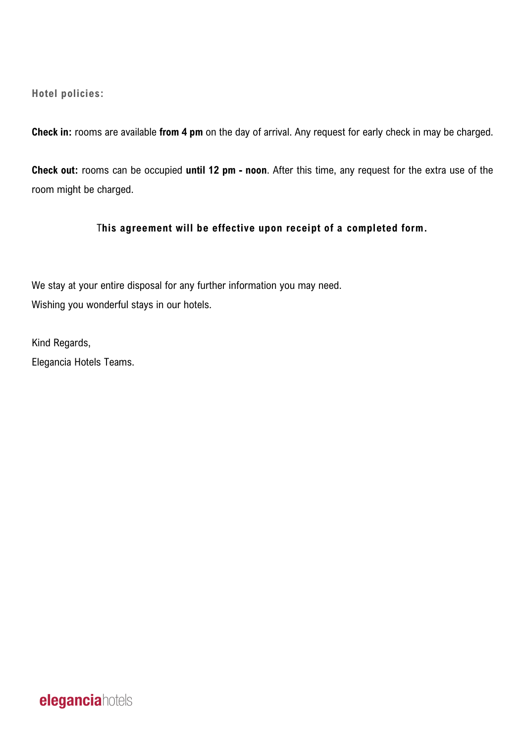**Hotel policies:** 

**Check in:** rooms are available **from 4 pm** on the day of arrival. Any request for early check in may be charged.

**Check out:** rooms can be occupied **until 12 pm - noon**. After this time, any request for the extra use of the room might be charged.

## T**his agreement will be effective upon receipt of a completed form.**

We stay at your entire disposal for any further information you may need. Wishing you wonderful stays in our hotels.

Kind Regards, Elegancia Hotels Teams.

**elegancia**hotels